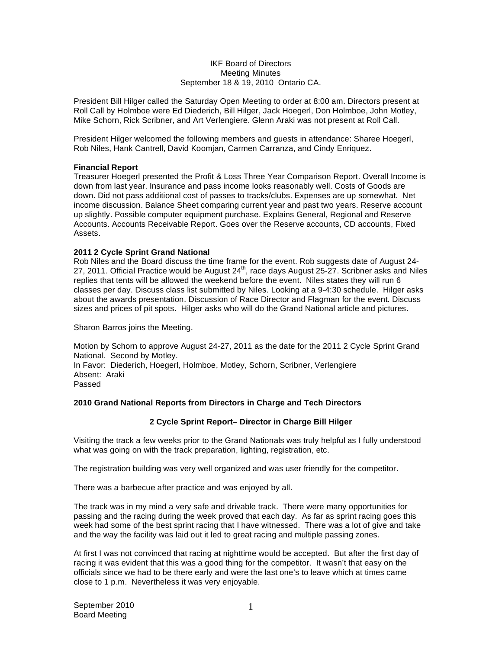### IKF Board of Directors Meeting Minutes September 18 & 19, 2010 Ontario CA.

President Bill Hilger called the Saturday Open Meeting to order at 8:00 am. Directors present at Roll Call by Holmboe were Ed Diederich, Bill Hilger, Jack Hoegerl, Don Holmboe, John Motley, Mike Schorn, Rick Scribner, and Art Verlengiere. Glenn Araki was not present at Roll Call.

President Hilger welcomed the following members and guests in attendance: Sharee Hoegerl, Rob Niles, Hank Cantrell, David Koomjan, Carmen Carranza, and Cindy Enriquez.

## **Financial Report**

Treasurer Hoegerl presented the Profit & Loss Three Year Comparison Report. Overall Income is down from last year. Insurance and pass income looks reasonably well. Costs of Goods are down. Did not pass additional cost of passes to tracks/clubs. Expenses are up somewhat. Net income discussion. Balance Sheet comparing current year and past two years. Reserve account up slightly. Possible computer equipment purchase. Explains General, Regional and Reserve Accounts. Accounts Receivable Report. Goes over the Reserve accounts, CD accounts, Fixed Assets.

## **2011 2 Cycle Sprint Grand National**

Rob Niles and the Board discuss the time frame for the event. Rob suggests date of August 24- 27, 2011. Official Practice would be August  $24^{th}$ , race days August 25-27. Scribner asks and Niles replies that tents will be allowed the weekend before the event. Niles states they will run 6 classes per day. Discuss class list submitted by Niles. Looking at a 9-4:30 schedule. Hilger asks about the awards presentation. Discussion of Race Director and Flagman for the event. Discuss sizes and prices of pit spots. Hilger asks who will do the Grand National article and pictures.

Sharon Barros joins the Meeting.

Motion by Schorn to approve August 24-27, 2011 as the date for the 2011 2 Cycle Sprint Grand National. Second by Motley. In Favor: Diederich, Hoegerl, Holmboe, Motley, Schorn, Scribner, Verlengiere Absent: Araki

## **2010 Grand National Reports from Directors in Charge and Tech Directors**

## **2 Cycle Sprint Report– Director in Charge Bill Hilger**

Visiting the track a few weeks prior to the Grand Nationals was truly helpful as I fully understood what was going on with the track preparation, lighting, registration, etc.

The registration building was very well organized and was user friendly for the competitor.

There was a barbecue after practice and was enjoyed by all.

The track was in my mind a very safe and drivable track. There were many opportunities for passing and the racing during the week proved that each day. As far as sprint racing goes this week had some of the best sprint racing that I have witnessed. There was a lot of give and take and the way the facility was laid out it led to great racing and multiple passing zones.

At first I was not convinced that racing at nighttime would be accepted. But after the first day of racing it was evident that this was a good thing for the competitor. It wasn't that easy on the officials since we had to be there early and were the last one's to leave which at times came close to 1 p.m. Nevertheless it was very enjoyable.

Passed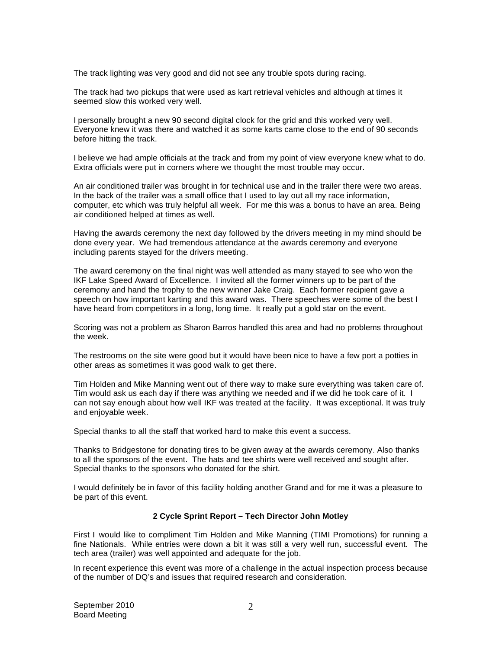The track lighting was very good and did not see any trouble spots during racing.

The track had two pickups that were used as kart retrieval vehicles and although at times it seemed slow this worked very well.

I personally brought a new 90 second digital clock for the grid and this worked very well. Everyone knew it was there and watched it as some karts came close to the end of 90 seconds before hitting the track.

I believe we had ample officials at the track and from my point of view everyone knew what to do. Extra officials were put in corners where we thought the most trouble may occur.

An air conditioned trailer was brought in for technical use and in the trailer there were two areas. In the back of the trailer was a small office that I used to lay out all my race information, computer, etc which was truly helpful all week. For me this was a bonus to have an area. Being air conditioned helped at times as well.

Having the awards ceremony the next day followed by the drivers meeting in my mind should be done every year. We had tremendous attendance at the awards ceremony and everyone including parents stayed for the drivers meeting.

The award ceremony on the final night was well attended as many stayed to see who won the IKF Lake Speed Award of Excellence. I invited all the former winners up to be part of the ceremony and hand the trophy to the new winner Jake Craig. Each former recipient gave a speech on how important karting and this award was. There speeches were some of the best I have heard from competitors in a long, long time. It really put a gold star on the event.

Scoring was not a problem as Sharon Barros handled this area and had no problems throughout the week.

The restrooms on the site were good but it would have been nice to have a few port a potties in other areas as sometimes it was good walk to get there.

Tim Holden and Mike Manning went out of there way to make sure everything was taken care of. Tim would ask us each day if there was anything we needed and if we did he took care of it. I can not say enough about how well IKF was treated at the facility. It was exceptional. It was truly and enjoyable week.

Special thanks to all the staff that worked hard to make this event a success.

Thanks to Bridgestone for donating tires to be given away at the awards ceremony. Also thanks to all the sponsors of the event. The hats and tee shirts were well received and sought after. Special thanks to the sponsors who donated for the shirt.

I would definitely be in favor of this facility holding another Grand and for me it was a pleasure to be part of this event.

## **2 Cycle Sprint Report – Tech Director John Motley**

First I would like to compliment Tim Holden and Mike Manning (TIMI Promotions) for running a fine Nationals. While entries were down a bit it was still a very well run, successful event. The tech area (trailer) was well appointed and adequate for the job.

In recent experience this event was more of a challenge in the actual inspection process because of the number of DQ's and issues that required research and consideration.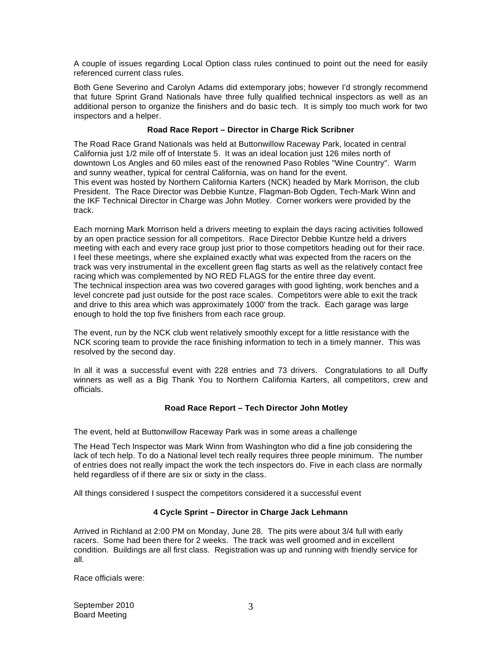A couple of issues regarding Local Option class rules continued to point out the need for easily referenced current class rules.

Both Gene Severino and Carolyn Adams did extemporary jobs; however I'd strongly recommend that future Sprint Grand Nationals have three fully qualified technical inspectors as well as an additional person to organize the finishers and do basic tech. It is simply too much work for two inspectors and a helper.

## **Road Race Report – Director in Charge Rick Scribner**

The Road Race Grand Nationals was held at Buttonwillow Raceway Park, located in central California just 1/2 mile off of Interstate 5. It was an ideal location just 126 miles north of downtown Los Angles and 60 miles east of the renowned Paso Robles "Wine Country". Warm and sunny weather, typical for central California, was on hand for the event. This event was hosted by Northern California Karters (NCK) headed by Mark Morrison, the club President. The Race Director was Debbie Kuntze, Flagman-Bob Ogden, Tech-Mark Winn and the IKF Technical Director in Charge was John Motley. Corner workers were provided by the track.

Each morning Mark Morrison held a drivers meeting to explain the days racing activities followed by an open practice session for all competitors. Race Director Debbie Kuntze held a drivers meeting with each and every race group just prior to those competitors heading out for their race. I feel these meetings, where she explained exactly what was expected from the racers on the track was very instrumental in the excellent green flag starts as well as the relatively contact free racing which was complemented by NO RED FLAGS for the entire three day event. The technical inspection area was two covered garages with good lighting, work benches and a level concrete pad just outside for the post race scales. Competitors were able to exit the track and drive to this area which was approximately 1000' from the track. Each garage was large enough to hold the top five finishers from each race group.

The event, run by the NCK club went relatively smoothly except for a little resistance with the NCK scoring team to provide the race finishing information to tech in a timely manner. This was resolved by the second day.

In all it was a successful event with 228 entries and 73 drivers. Congratulations to all Duffy winners as well as a Big Thank You to Northern California Karters, all competitors, crew and officials.

## **Road Race Report – Tech Director John Motley**

The event, held at Buttonwillow Raceway Park was in some areas a challenge

The Head Tech Inspector was Mark Winn from Washington who did a fine job considering the lack of tech help. To do a National level tech really requires three people minimum. The number of entries does not really impact the work the tech inspectors do. Five in each class are normally held regardless of if there are six or sixty in the class.

All things considered I suspect the competitors considered it a successful event

## **4 Cycle Sprint – Director in Charge Jack Lehmann**

Arrived in Richland at 2:00 PM on Monday, June 28. The pits were about 3/4 full with early racers. Some had been there for 2 weeks. The track was well groomed and in excellent condition. Buildings are all first class. Registration was up and running with friendly service for all.

Race officials were: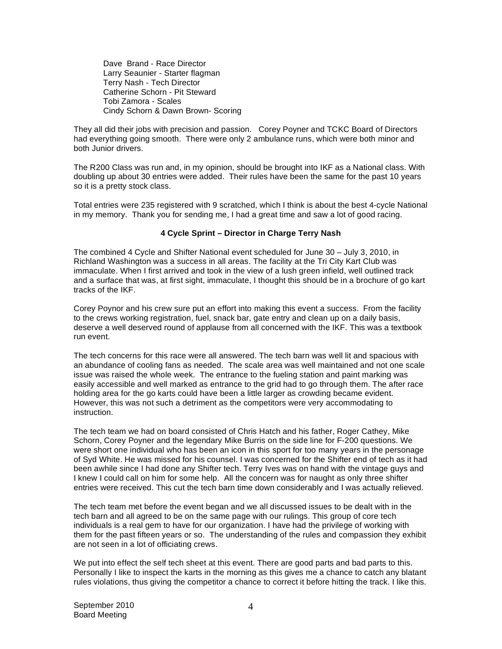Dave Brand - Race Director Larry Seaunier - Starter flagman Terry Nash - Tech Director Catherine Schorn - Pit Steward Tobi Zamora - Scales Cindy Schorn & Dawn Brown- Scoring

They all did their jobs with precision and passion. Corey Poyner and TCKC Board of Directors had everything going smooth. There were only 2 ambulance runs, which were both minor and both Junior drivers.

The R200 Class was run and, in my opinion, should be brought into IKF as a National class. With doubling up about 30 entries were added. Their rules have been the same for the past 10 years so it is a pretty stock class.

Total entries were 235 registered with 9 scratched, which I think is about the best 4-cycle National in my memory. Thank you for sending me, I had a great time and saw a lot of good racing.

## **4 Cycle Sprint – Director in Charge Terry Nash**

The combined 4 Cycle and Shifter National event scheduled for June 30 – July 3, 2010, in Richland Washington was a success in all areas. The facility at the Tri City Kart Club was immaculate. When I first arrived and took in the view of a lush green infield, well outlined track and a surface that was, at first sight, immaculate, I thought this should be in a brochure of go kart tracks of the IKF.

Corey Poynor and his crew sure put an effort into making this event a success. From the facility to the crews working registration, fuel, snack bar, gate entry and clean up on a daily basis, deserve a well deserved round of applause from all concerned with the IKF. This was a textbook run event.

The tech concerns for this race were all answered. The tech barn was well lit and spacious with an abundance of cooling fans as needed. The scale area was well maintained and not one scale issue was raised the whole week. The entrance to the fueling station and paint marking was easily accessible and well marked as entrance to the grid had to go through them. The after race holding area for the go karts could have been a little larger as crowding became evident. However, this was not such a detriment as the competitors were very accommodating to instruction.

The tech team we had on board consisted of Chris Hatch and his father, Roger Cathey, Mike Schorn, Corey Poyner and the legendary Mike Burris on the side line for F-200 questions. We were short one individual who has been an icon in this sport for too many years in the personage of Syd White. He was missed for his counsel. I was concerned for the Shifter end of tech as it had been awhile since I had done any Shifter tech. Terry Ives was on hand with the vintage guys and I knew I could call on him for some help. All the concern was for naught as only three shifter entries were received. This cut the tech barn time down considerably and I was actually relieved.

The tech team met before the event began and we all discussed issues to be dealt with in the tech barn and all agreed to be on the same page with our rulings. This group of core tech individuals is a real gem to have for our organization. I have had the privilege of working with them for the past fifteen years or so. The understanding of the rules and compassion they exhibit are not seen in a lot of officiating crews.

We put into effect the self tech sheet at this event. There are good parts and bad parts to this. Personally I like to inspect the karts in the morning as this gives me a chance to catch any blatant rules violations, thus giving the competitor a chance to correct it before hitting the track. I like this.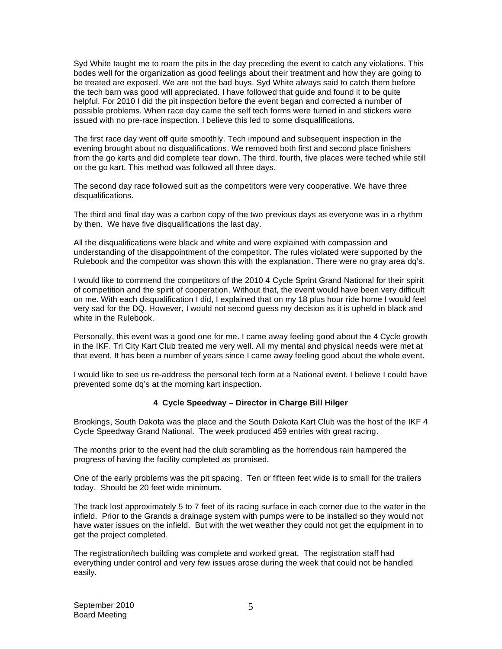Syd White taught me to roam the pits in the day preceding the event to catch any violations. This bodes well for the organization as good feelings about their treatment and how they are going to be treated are exposed. We are not the bad buys. Syd White always said to catch them before the tech barn was good will appreciated. I have followed that guide and found it to be quite helpful. For 2010 I did the pit inspection before the event began and corrected a number of possible problems. When race day came the self tech forms were turned in and stickers were issued with no pre-race inspection. I believe this led to some disqualifications.

The first race day went off quite smoothly. Tech impound and subsequent inspection in the evening brought about no disqualifications. We removed both first and second place finishers from the go karts and did complete tear down. The third, fourth, five places were teched while still on the go kart. This method was followed all three days.

The second day race followed suit as the competitors were very cooperative. We have three disqualifications.

The third and final day was a carbon copy of the two previous days as everyone was in a rhythm by then. We have five disqualifications the last day.

All the disqualifications were black and white and were explained with compassion and understanding of the disappointment of the competitor. The rules violated were supported by the Rulebook and the competitor was shown this with the explanation. There were no gray area dq's.

I would like to commend the competitors of the 2010 4 Cycle Sprint Grand National for their spirit of competition and the spirit of cooperation. Without that, the event would have been very difficult on me. With each disqualification I did, I explained that on my 18 plus hour ride home I would feel very sad for the DQ. However, I would not second guess my decision as it is upheld in black and white in the Rulebook.

Personally, this event was a good one for me. I came away feeling good about the 4 Cycle growth in the IKF. Tri City Kart Club treated me very well. All my mental and physical needs were met at that event. It has been a number of years since I came away feeling good about the whole event.

I would like to see us re-address the personal tech form at a National event. I believe I could have prevented some dq's at the morning kart inspection.

## **4 Cycle Speedway – Director in Charge Bill Hilger**

Brookings, South Dakota was the place and the South Dakota Kart Club was the host of the IKF 4 Cycle Speedway Grand National. The week produced 459 entries with great racing.

The months prior to the event had the club scrambling as the horrendous rain hampered the progress of having the facility completed as promised.

One of the early problems was the pit spacing. Ten or fifteen feet wide is to small for the trailers today. Should be 20 feet wide minimum.

The track lost approximately 5 to 7 feet of its racing surface in each corner due to the water in the infield. Prior to the Grands a drainage system with pumps were to be installed so they would not have water issues on the infield. But with the wet weather they could not get the equipment in to get the project completed.

The registration/tech building was complete and worked great. The registration staff had everything under control and very few issues arose during the week that could not be handled easily.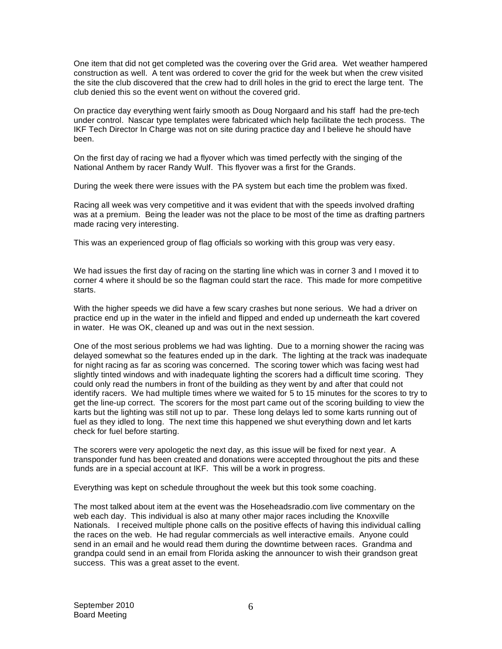One item that did not get completed was the covering over the Grid area. Wet weather hampered construction as well. A tent was ordered to cover the grid for the week but when the crew visited the site the club discovered that the crew had to drill holes in the grid to erect the large tent. The club denied this so the event went on without the covered grid.

On practice day everything went fairly smooth as Doug Norgaard and his staff had the pre-tech under control. Nascar type templates were fabricated which help facilitate the tech process. The IKF Tech Director In Charge was not on site during practice day and I believe he should have been.

On the first day of racing we had a flyover which was timed perfectly with the singing of the National Anthem by racer Randy Wulf. This flyover was a first for the Grands.

During the week there were issues with the PA system but each time the problem was fixed.

Racing all week was very competitive and it was evident that with the speeds involved drafting was at a premium. Being the leader was not the place to be most of the time as drafting partners made racing very interesting.

This was an experienced group of flag officials so working with this group was very easy.

We had issues the first day of racing on the starting line which was in corner 3 and I moved it to corner 4 where it should be so the flagman could start the race. This made for more competitive starts.

With the higher speeds we did have a few scary crashes but none serious. We had a driver on practice end up in the water in the infield and flipped and ended up underneath the kart covered in water. He was OK, cleaned up and was out in the next session.

One of the most serious problems we had was lighting. Due to a morning shower the racing was delayed somewhat so the features ended up in the dark. The lighting at the track was inadequate for night racing as far as scoring was concerned. The scoring tower which was facing west had slightly tinted windows and with inadequate lighting the scorers had a difficult time scoring. They could only read the numbers in front of the building as they went by and after that could not identify racers. We had multiple times where we waited for 5 to 15 minutes for the scores to try to get the line-up correct. The scorers for the most part came out of the scoring building to view the karts but the lighting was still not up to par. These long delays led to some karts running out of fuel as they idled to long. The next time this happened we shut everything down and let karts check for fuel before starting.

The scorers were very apologetic the next day, as this issue will be fixed for next year. A transponder fund has been created and donations were accepted throughout the pits and these funds are in a special account at IKF. This will be a work in progress.

Everything was kept on schedule throughout the week but this took some coaching.

The most talked about item at the event was the Hoseheadsradio.com live commentary on the web each day. This individual is also at many other major races including the Knoxville Nationals. I received multiple phone calls on the positive effects of having this individual calling the races on the web. He had regular commercials as well interactive emails. Anyone could send in an email and he would read them during the downtime between races. Grandma and grandpa could send in an email from Florida asking the announcer to wish their grandson great success. This was a great asset to the event.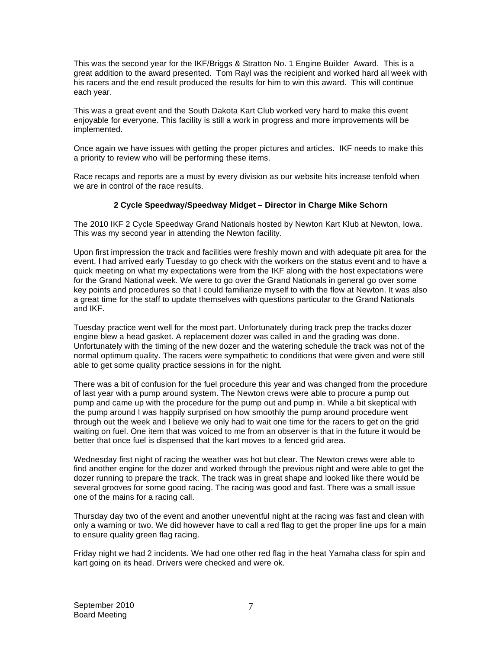This was the second year for the IKF/Briggs & Stratton No. 1 Engine Builder Award. This is a great addition to the award presented. Tom Rayl was the recipient and worked hard all week with his racers and the end result produced the results for him to win this award. This will continue each year.

This was a great event and the South Dakota Kart Club worked very hard to make this event enjoyable for everyone. This facility is still a work in progress and more improvements will be implemented.

Once again we have issues with getting the proper pictures and articles. IKF needs to make this a priority to review who will be performing these items.

Race recaps and reports are a must by every division as our website hits increase tenfold when we are in control of the race results.

## **2 Cycle Speedway/Speedway Midget – Director in Charge Mike Schorn**

The 2010 IKF 2 Cycle Speedway Grand Nationals hosted by Newton Kart Klub at Newton, Iowa. This was my second year in attending the Newton facility.

Upon first impression the track and facilities were freshly mown and with adequate pit area for the event. I had arrived early Tuesday to go check with the workers on the status event and to have a quick meeting on what my expectations were from the IKF along with the host expectations were for the Grand National week. We were to go over the Grand Nationals in general go over some key points and procedures so that I could familiarize myself to with the flow at Newton. It was also a great time for the staff to update themselves with questions particular to the Grand Nationals and IKF.

Tuesday practice went well for the most part. Unfortunately during track prep the tracks dozer engine blew a head gasket. A replacement dozer was called in and the grading was done. Unfortunately with the timing of the new dozer and the watering schedule the track was not of the normal optimum quality. The racers were sympathetic to conditions that were given and were still able to get some quality practice sessions in for the night.

There was a bit of confusion for the fuel procedure this year and was changed from the procedure of last year with a pump around system. The Newton crews were able to procure a pump out pump and came up with the procedure for the pump out and pump in. While a bit skeptical with the pump around I was happily surprised on how smoothly the pump around procedure went through out the week and I believe we only had to wait one time for the racers to get on the grid waiting on fuel. One item that was voiced to me from an observer is that in the future it would be better that once fuel is dispensed that the kart moves to a fenced grid area.

Wednesday first night of racing the weather was hot but clear. The Newton crews were able to find another engine for the dozer and worked through the previous night and were able to get the dozer running to prepare the track. The track was in great shape and looked like there would be several grooves for some good racing. The racing was good and fast. There was a small issue one of the mains for a racing call.

Thursday day two of the event and another uneventful night at the racing was fast and clean with only a warning or two. We did however have to call a red flag to get the proper line ups for a main to ensure quality green flag racing.

Friday night we had 2 incidents. We had one other red flag in the heat Yamaha class for spin and kart going on its head. Drivers were checked and were ok.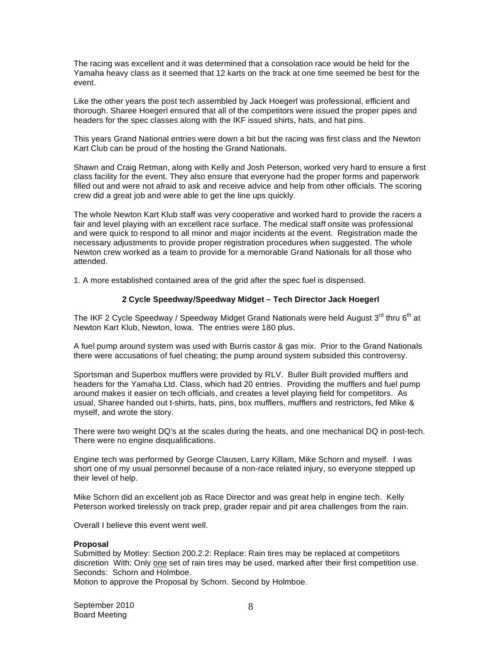The racing was excellent and it was determined that a consolation race would be held for the Yamaha heavy class as it seemed that 12 karts on the track at one time seemed be best for the event.

Like the other years the post tech assembled by Jack Hoegerl was professional, efficient and thorough. Sharee Hoegerl ensured that all of the competitors were issued the proper pipes and headers for the spec classes along with the IKF issued shirts, hats, and hat pins.

This years Grand National entries were down a bit but the racing was first class and the Newton Kart Club can be proud of the hosting the Grand Nationals.

Shawn and Craig Retman, along with Kelly and Josh Peterson, worked very hard to ensure a first class facility for the event. They also ensure that everyone had the proper forms and paperwork filled out and were not afraid to ask and receive advice and help from other officials. The scoring crew did a great job and were able to get the line ups quickly.

The whole Newton Kart Klub staff was very cooperative and worked hard to provide the racers a fair and level playing with an excellent race surface. The medical staff onsite was professional and were quick to respond to all minor and major incidents at the event. Registration made the necessary adjustments to provide proper registration procedures when suggested. The whole Newton crew worked as a team to provide for a memorable Grand Nationals for all those who attended.

1. A more established contained area of the grid after the spec fuel is dispensed.

## **2 Cycle Speedway/Speedway Midget – Tech Director Jack Hoegerl**

The IKF 2 Cycle Speedway / Speedway Midget Grand Nationals were held August 3<sup>rd</sup> thru 6<sup>th</sup> at Newton Kart Klub, Newton, Iowa. The entries were 180 plus.

A fuel pump around system was used with Burris castor & gas mix. Prior to the Grand Nationals there were accusations of fuel cheating; the pump around system subsided this controversy.

Sportsman and Superbox mufflers were provided by RLV. Buller Built provided mufflers and headers for the Yamaha Ltd. Class, which had 20 entries. Providing the mufflers and fuel pump around makes it easier on tech officials, and creates a level playing field for competitors. As usual, Sharee handed out t-shirts, hats, pins, box mufflers, mufflers and restrictors, fed Mike & myself, and wrote the story.

There were two weight DQ's at the scales during the heats, and one mechanical DQ in post-tech. There were no engine disqualifications.

Engine tech was performed by George Clausen, Larry Killam, Mike Schorn and myself. I was short one of my usual personnel because of a non-race related injury, so everyone stepped up their level of help.

Mike Schorn did an excellent job as Race Director and was great help in engine tech. Kelly Peterson worked tirelessly on track prep, grader repair and pit area challenges from the rain.

Overall I believe this event went well.

## **Proposal**

Submitted by Motley: Section 200.2.2: Replace: Rain tires may be replaced at competitors discretion With: Only one set of rain tires may be used, marked after their first competition use. Seconds: Schorn and Holmboe.

Motion to approve the Proposal by Schorn. Second by Holmboe.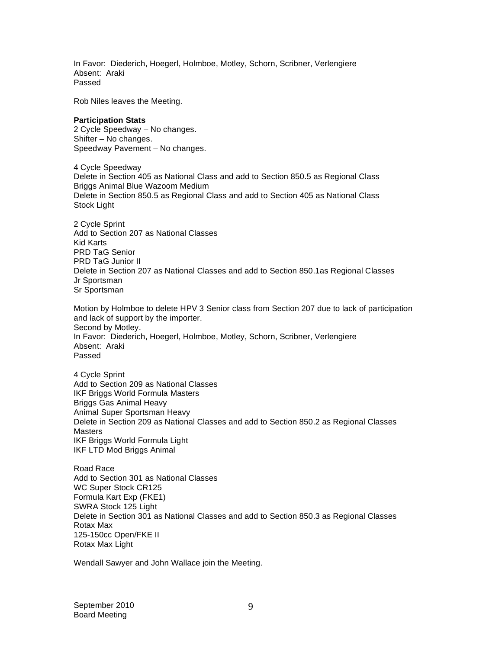In Favor: Diederich, Hoegerl, Holmboe, Motley, Schorn, Scribner, Verlengiere Absent: Araki Passed

Rob Niles leaves the Meeting.

### **Participation Stats**

2 Cycle Speedway – No changes. Shifter – No changes. Speedway Pavement – No changes.

4 Cycle Speedway Delete in Section 405 as National Class and add to Section 850.5 as Regional Class Briggs Animal Blue Wazoom Medium Delete in Section 850.5 as Regional Class and add to Section 405 as National Class Stock Light

2 Cycle Sprint Add to Section 207 as National Classes Kid Karts PRD TaG Senior PRD TaG Junior II Delete in Section 207 as National Classes and add to Section 850.1as Regional Classes Jr Sportsman Sr Sportsman

Motion by Holmboe to delete HPV 3 Senior class from Section 207 due to lack of participation and lack of support by the importer. Second by Motley. In Favor: Diederich, Hoegerl, Holmboe, Motley, Schorn, Scribner, Verlengiere Absent: Araki Passed

4 Cycle Sprint Add to Section 209 as National Classes IKF Briggs World Formula Masters Briggs Gas Animal Heavy Animal Super Sportsman Heavy Delete in Section 209 as National Classes and add to Section 850.2 as Regional Classes **Masters** IKF Briggs World Formula Light IKF LTD Mod Briggs Animal

Road Race Add to Section 301 as National Classes WC Super Stock CR125 Formula Kart Exp (FKE1) SWRA Stock 125 Light Delete in Section 301 as National Classes and add to Section 850.3 as Regional Classes Rotax Max 125-150cc Open/FKE II Rotax Max Light

Wendall Sawyer and John Wallace join the Meeting.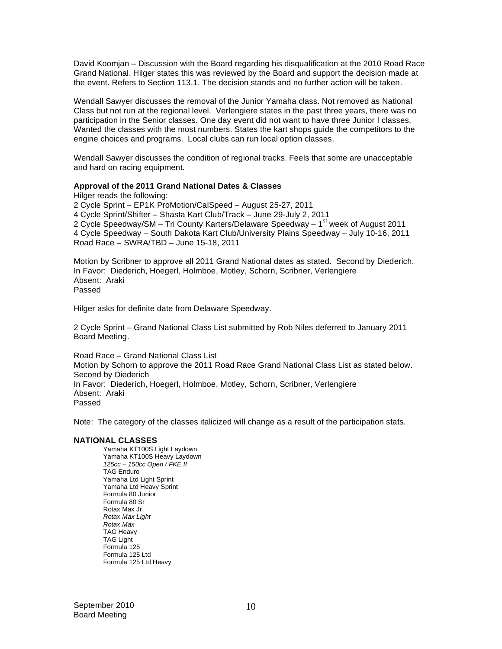David Koomjan – Discussion with the Board regarding his disqualification at the 2010 Road Race Grand National. Hilger states this was reviewed by the Board and support the decision made at the event. Refers to Section 113.1. The decision stands and no further action will be taken.

Wendall Sawyer discusses the removal of the Junior Yamaha class. Not removed as National Class but not run at the regional level. Verlengiere states in the past three years, there was no participation in the Senior classes. One day event did not want to have three Junior I classes. Wanted the classes with the most numbers. States the kart shops guide the competitors to the engine choices and programs. Local clubs can run local option classes.

Wendall Sawyer discusses the condition of regional tracks. Feels that some are unacceptable and hard on racing equipment.

### **Approval of the 2011 Grand National Dates & Classes**

Hilger reads the following: 2 Cycle Sprint – EP1K ProMotion/CalSpeed – August 25-27, 2011 4 Cycle Sprint/Shifter – Shasta Kart Club/Track – June 29-July 2, 2011 2 Cycle Speedway/SM – Tri County Karters/Delaware Speedway – 1<sup>st</sup> week of August 2011 4 Cycle Speedway – South Dakota Kart Club/University Plains Speedway – July 10-16, 2011 Road Race – SWRA/TBD – June 15-18, 2011

Motion by Scribner to approve all 2011 Grand National dates as stated. Second by Diederich. In Favor: Diederich, Hoegerl, Holmboe, Motley, Schorn, Scribner, Verlengiere Absent: Araki Passed

Hilger asks for definite date from Delaware Speedway.

2 Cycle Sprint – Grand National Class List submitted by Rob Niles deferred to January 2011 Board Meeting.

Road Race – Grand National Class List Motion by Schorn to approve the 2011 Road Race Grand National Class List as stated below. Second by Diederich In Favor: Diederich, Hoegerl, Holmboe, Motley, Schorn, Scribner, Verlengiere Absent: Araki Passed

Note: The category of the classes italicized will change as a result of the participation stats.

#### **NATIONAL CLASSES**

Yamaha KT100S Light Laydown Yamaha KT100S Heavy Laydown *125cc – 150cc Open / FKE II*  TAG Enduro Yamaha Ltd Light Sprint Yamaha Ltd Heavy Sprint Formula 80 Junior Formula 80 Sr Rotax Max Jr *Rotax Max Light Rotax Max*  TAG Heavy TAG Light Formula 125 Formula 125 Ltd Formula 125 Ltd Heavy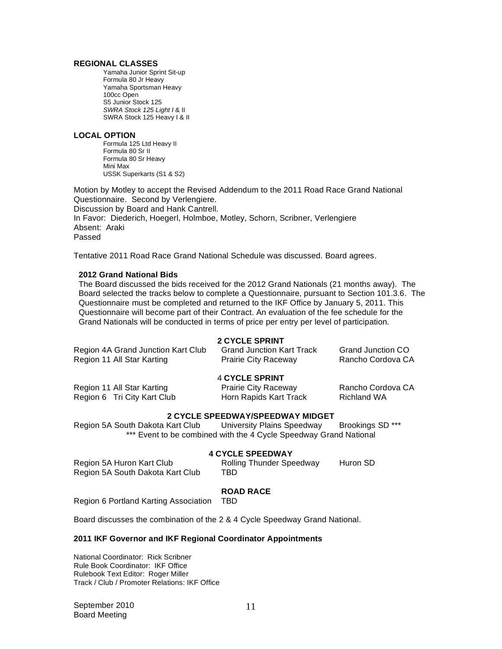### **REGIONAL CLASSES**

Yamaha Junior Sprint Sit-up Formula 80 Jr Heavy Yamaha Sportsman Heavy 100cc Open S5 Junior Stock 125 *SWRA Stock 125 Light I* & II SWRA Stock 125 Heavy I & II

#### **LOCAL OPTION**

Formula 125 Ltd Heavy II Formula 80 Sr II Formula 80 Sr Heavy Mini Max USSK Superkarts (S1 & S2)

Motion by Motley to accept the Revised Addendum to the 2011 Road Race Grand National Questionnaire. Second by Verlengiere. Discussion by Board and Hank Cantrell. In Favor: Diederich, Hoegerl, Holmboe, Motley, Schorn, Scribner, Verlengiere Absent: Araki Passed

Tentative 2011 Road Race Grand National Schedule was discussed. Board agrees.

## **2012 Grand National Bids**

The Board discussed the bids received for the 2012 Grand Nationals (21 months away). The Board selected the tracks below to complete a Questionnaire, pursuant to Section 101.3.6. The Questionnaire must be completed and returned to the IKF Office by January 5, 2011. This Questionnaire will become part of their Contract. An evaluation of the fee schedule for the Grand Nationals will be conducted in terms of price per entry per level of participation.

## **2 CYCLE SPRINT**

| Region 4A Grand Junction Kart Club                        | <b>Grand Junction Kart Track</b>                                               | <b>Grand Junction CO</b>                |
|-----------------------------------------------------------|--------------------------------------------------------------------------------|-----------------------------------------|
| Region 11 All Star Karting                                | <b>Prairie City Raceway</b>                                                    | Rancho Cordova CA                       |
| Region 11 All Star Karting<br>Region 6 Tri City Kart Club | <b>4 CYCLE SPRINT</b><br><b>Prairie City Raceway</b><br>Horn Rapids Kart Track | Rancho Cordova CA<br><b>Richland WA</b> |

## **2 CYCLE SPEEDWAY/SPEEDWAY MIDGET**

Region 5A South Dakota Kart Club University Plains Speedway Brookings SD \*\*\* \*\*\* Event to be combined with the 4 Cycle Speedway Grand National

## **4 CYCLE SPEEDWAY**

| Region 5A Huron Kart Club        | <b>Rolling Thunder Speedway</b> | Huron SD |
|----------------------------------|---------------------------------|----------|
| Region 5A South Dakota Kart Club | TBD.                            |          |

## **ROAD RACE**

Region 6 Portland Karting Association TBD

Board discusses the combination of the 2 & 4 Cycle Speedway Grand National.

### **2011 IKF Governor and IKF Regional Coordinator Appointments**

National Coordinator: Rick Scribner Rule Book Coordinator: IKF Office Rulebook Text Editor: Roger Miller Track / Club / Promoter Relations: IKF Office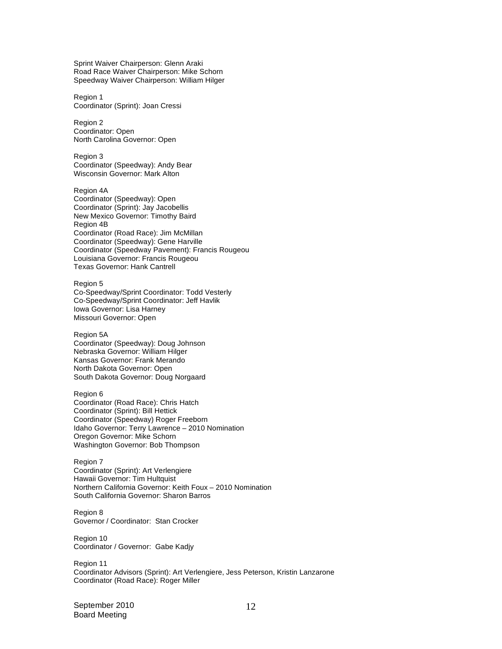Sprint Waiver Chairperson: Glenn Araki Road Race Waiver Chairperson: Mike Schorn Speedway Waiver Chairperson: William Hilger

Region 1 Coordinator (Sprint): Joan Cressi

Region 2 Coordinator: Open North Carolina Governor: Open

Region 3 Coordinator (Speedway): Andy Bear Wisconsin Governor: Mark Alton

Region 4A Coordinator (Speedway): Open Coordinator (Sprint): Jay Jacobellis New Mexico Governor: Timothy Baird Region 4B Coordinator (Road Race): Jim McMillan Coordinator (Speedway): Gene Harville Coordinator (Speedway Pavement): Francis Rougeou Louisiana Governor: Francis Rougeou Texas Governor: Hank Cantrell

Region 5 Co-Speedway/Sprint Coordinator: Todd Vesterly Co-Speedway/Sprint Coordinator: Jeff Havlik Iowa Governor: Lisa Harney Missouri Governor: Open

Region 5A Coordinator (Speedway): Doug Johnson Nebraska Governor: William Hilger Kansas Governor: Frank Merando North Dakota Governor: Open South Dakota Governor: Doug Norgaard

Region 6 Coordinator (Road Race): Chris Hatch Coordinator (Sprint): Bill Hettick Coordinator (Speedway) Roger Freeborn Idaho Governor: Terry Lawrence – 2010 Nomination Oregon Governor: Mike Schorn Washington Governor: Bob Thompson

Region 7 Coordinator (Sprint): Art Verlengiere Hawaii Governor: Tim Hultquist Northern California Governor: Keith Foux – 2010 Nomination South California Governor: Sharon Barros

Region 8 Governor / Coordinator: Stan Crocker

Region 10 Coordinator / Governor: Gabe Kadjy

Region 11 Coordinator Advisors (Sprint): Art Verlengiere, Jess Peterson, Kristin Lanzarone Coordinator (Road Race): Roger Miller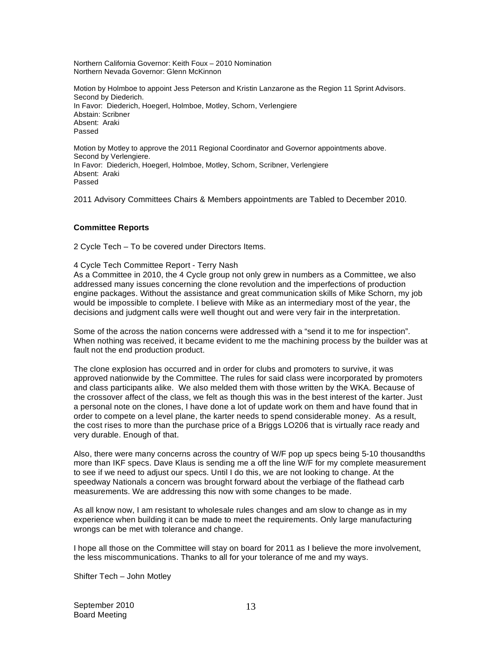Northern California Governor: Keith Foux – 2010 Nomination Northern Nevada Governor: Glenn McKinnon

Motion by Holmboe to appoint Jess Peterson and Kristin Lanzarone as the Region 11 Sprint Advisors. Second by Diederich. In Favor: Diederich, Hoegerl, Holmboe, Motley, Schorn, Verlengiere Abstain: Scribner Absent: Araki Passed

Motion by Motley to approve the 2011 Regional Coordinator and Governor appointments above. Second by Verlengiere. In Favor: Diederich, Hoegerl, Holmboe, Motley, Schorn, Scribner, Verlengiere Absent: Araki Passed

2011 Advisory Committees Chairs & Members appointments are Tabled to December 2010.

## **Committee Reports**

2 Cycle Tech – To be covered under Directors Items.

4 Cycle Tech Committee Report - Terry Nash

As a Committee in 2010, the 4 Cycle group not only grew in numbers as a Committee, we also addressed many issues concerning the clone revolution and the imperfections of production engine packages. Without the assistance and great communication skills of Mike Schorn, my job would be impossible to complete. I believe with Mike as an intermediary most of the year, the decisions and judgment calls were well thought out and were very fair in the interpretation.

Some of the across the nation concerns were addressed with a "send it to me for inspection". When nothing was received, it became evident to me the machining process by the builder was at fault not the end production product.

The clone explosion has occurred and in order for clubs and promoters to survive, it was approved nationwide by the Committee. The rules for said class were incorporated by promoters and class participants alike. We also melded them with those written by the WKA. Because of the crossover affect of the class, we felt as though this was in the best interest of the karter. Just a personal note on the clones, I have done a lot of update work on them and have found that in order to compete on a level plane, the karter needs to spend considerable money. As a result, the cost rises to more than the purchase price of a Briggs LO206 that is virtually race ready and very durable. Enough of that.

Also, there were many concerns across the country of W/F pop up specs being 5-10 thousandths more than IKF specs. Dave Klaus is sending me a off the line W/F for my complete measurement to see if we need to adjust our specs. Until I do this, we are not looking to change. At the speedway Nationals a concern was brought forward about the verbiage of the flathead carb measurements. We are addressing this now with some changes to be made.

As all know now, I am resistant to wholesale rules changes and am slow to change as in my experience when building it can be made to meet the requirements. Only large manufacturing wrongs can be met with tolerance and change.

I hope all those on the Committee will stay on board for 2011 as I believe the more involvement, the less miscommunications. Thanks to all for your tolerance of me and my ways.

Shifter Tech – John Motley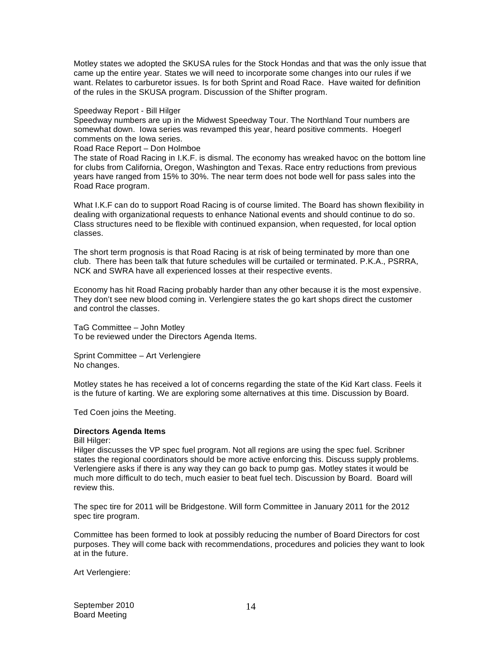Motley states we adopted the SKUSA rules for the Stock Hondas and that was the only issue that came up the entire year. States we will need to incorporate some changes into our rules if we want. Relates to carburetor issues. Is for both Sprint and Road Race. Have waited for definition of the rules in the SKUSA program. Discussion of the Shifter program.

Speedway Report - Bill Hilger

Speedway numbers are up in the Midwest Speedway Tour. The Northland Tour numbers are somewhat down. Iowa series was revamped this year, heard positive comments. Hoegerl comments on the Iowa series.

Road Race Report – Don Holmboe

The state of Road Racing in I.K.F. is dismal. The economy has wreaked havoc on the bottom line for clubs from California, Oregon, Washington and Texas. Race entry reductions from previous years have ranged from 15% to 30%. The near term does not bode well for pass sales into the Road Race program.

What I.K.F can do to support Road Racing is of course limited. The Board has shown flexibility in dealing with organizational requests to enhance National events and should continue to do so. Class structures need to be flexible with continued expansion, when requested, for local option classes.

The short term prognosis is that Road Racing is at risk of being terminated by more than one club. There has been talk that future schedules will be curtailed or terminated. P.K.A., PSRRA, NCK and SWRA have all experienced losses at their respective events.

Economy has hit Road Racing probably harder than any other because it is the most expensive. They don't see new blood coming in. Verlengiere states the go kart shops direct the customer and control the classes.

TaG Committee – John Motley To be reviewed under the Directors Agenda Items.

Sprint Committee – Art Verlengiere No changes.

Motley states he has received a lot of concerns regarding the state of the Kid Kart class. Feels it is the future of karting. We are exploring some alternatives at this time. Discussion by Board.

Ted Coen joins the Meeting.

## **Directors Agenda Items**

Bill Hilger:

Hilger discusses the VP spec fuel program. Not all regions are using the spec fuel. Scribner states the regional coordinators should be more active enforcing this. Discuss supply problems. Verlengiere asks if there is any way they can go back to pump gas. Motley states it would be much more difficult to do tech, much easier to beat fuel tech. Discussion by Board. Board will review this.

The spec tire for 2011 will be Bridgestone. Will form Committee in January 2011 for the 2012 spec tire program.

Committee has been formed to look at possibly reducing the number of Board Directors for cost purposes. They will come back with recommendations, procedures and policies they want to look at in the future.

Art Verlengiere: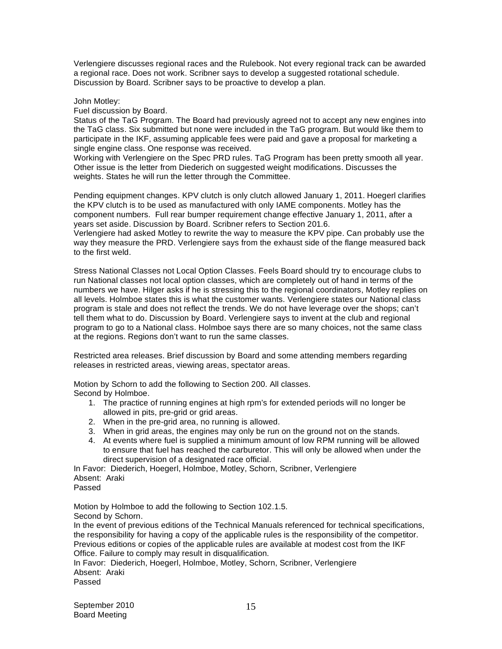Verlengiere discusses regional races and the Rulebook. Not every regional track can be awarded a regional race. Does not work. Scribner says to develop a suggested rotational schedule. Discussion by Board. Scribner says to be proactive to develop a plan.

John Motley:

Fuel discussion by Board.

Status of the TaG Program. The Board had previously agreed not to accept any new engines into the TaG class. Six submitted but none were included in the TaG program. But would like them to participate in the IKF, assuming applicable fees were paid and gave a proposal for marketing a single engine class. One response was received.

Working with Verlengiere on the Spec PRD rules. TaG Program has been pretty smooth all year. Other issue is the letter from Diederich on suggested weight modifications. Discusses the weights. States he will run the letter through the Committee.

Pending equipment changes. KPV clutch is only clutch allowed January 1, 2011. Hoegerl clarifies the KPV clutch is to be used as manufactured with only IAME components. Motley has the component numbers. Full rear bumper requirement change effective January 1, 2011, after a years set aside. Discussion by Board. Scribner refers to Section 201.6.

Verlengiere had asked Motley to rewrite the way to measure the KPV pipe. Can probably use the way they measure the PRD. Verlengiere says from the exhaust side of the flange measured back to the first weld.

Stress National Classes not Local Option Classes. Feels Board should try to encourage clubs to run National classes not local option classes, which are completely out of hand in terms of the numbers we have. Hilger asks if he is stressing this to the regional coordinators, Motley replies on all levels. Holmboe states this is what the customer wants. Verlengiere states our National class program is stale and does not reflect the trends. We do not have leverage over the shops; can't tell them what to do. Discussion by Board. Verlengiere says to invent at the club and regional program to go to a National class. Holmboe says there are so many choices, not the same class at the regions. Regions don't want to run the same classes.

Restricted area releases. Brief discussion by Board and some attending members regarding releases in restricted areas, viewing areas, spectator areas.

Motion by Schorn to add the following to Section 200. All classes. Second by Holmboe.

- 1. The practice of running engines at high rpm's for extended periods will no longer be allowed in pits, pre-grid or grid areas.
- 2. When in the pre-grid area, no running is allowed.
- 3. When in grid areas, the engines may only be run on the ground not on the stands.
- 4. At events where fuel is supplied a minimum amount of low RPM running will be allowed to ensure that fuel has reached the carburetor. This will only be allowed when under the direct supervision of a designated race official.

In Favor: Diederich, Hoegerl, Holmboe, Motley, Schorn, Scribner, Verlengiere Absent: Araki Passed

Motion by Holmboe to add the following to Section 102.1.5. Second by Schorn.

In the event of previous editions of the Technical Manuals referenced for technical specifications, the responsibility for having a copy of the applicable rules is the responsibility of the competitor. Previous editions or copies of the applicable rules are available at modest cost from the IKF Office. Failure to comply may result in disqualification.

In Favor: Diederich, Hoegerl, Holmboe, Motley, Schorn, Scribner, Verlengiere Absent: Araki Passed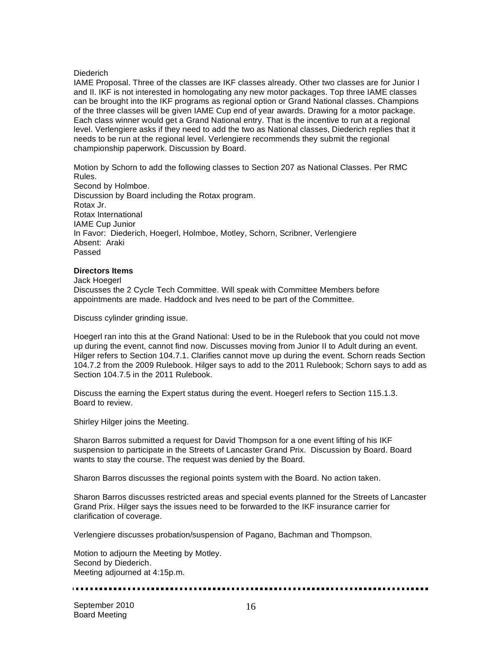### **Diederich**

IAME Proposal. Three of the classes are IKF classes already. Other two classes are for Junior I and II. IKF is not interested in homologating any new motor packages. Top three IAME classes can be brought into the IKF programs as regional option or Grand National classes. Champions of the three classes will be given IAME Cup end of year awards. Drawing for a motor package. Each class winner would get a Grand National entry. That is the incentive to run at a regional level. Verlengiere asks if they need to add the two as National classes, Diederich replies that it needs to be run at the regional level. Verlengiere recommends they submit the regional championship paperwork. Discussion by Board.

Motion by Schorn to add the following classes to Section 207 as National Classes. Per RMC Rules.

Second by Holmboe. Discussion by Board including the Rotax program. Rotax Jr. Rotax International IAME Cup Junior In Favor: Diederich, Hoegerl, Holmboe, Motley, Schorn, Scribner, Verlengiere Absent: Araki Passed

### **Directors Items**

Jack Hoegerl Discusses the 2 Cycle Tech Committee. Will speak with Committee Members before appointments are made. Haddock and Ives need to be part of the Committee.

Discuss cylinder grinding issue.

Hoegerl ran into this at the Grand National: Used to be in the Rulebook that you could not move up during the event, cannot find now. Discusses moving from Junior II to Adult during an event. Hilger refers to Section 104.7.1. Clarifies cannot move up during the event. Schorn reads Section 104.7.2 from the 2009 Rulebook. Hilger says to add to the 2011 Rulebook; Schorn says to add as Section 104.7.5 in the 2011 Rulebook.

Discuss the earning the Expert status during the event. Hoegerl refers to Section 115.1.3. Board to review.

Shirley Hilger joins the Meeting.

Sharon Barros submitted a request for David Thompson for a one event lifting of his IKF suspension to participate in the Streets of Lancaster Grand Prix. Discussion by Board. Board wants to stay the course. The request was denied by the Board.

Sharon Barros discusses the regional points system with the Board. No action taken.

Sharon Barros discusses restricted areas and special events planned for the Streets of Lancaster Grand Prix. Hilger says the issues need to be forwarded to the IKF insurance carrier for clarification of coverage.

Verlengiere discusses probation/suspension of Pagano, Bachman and Thompson.

Motion to adjourn the Meeting by Motley. Second by Diederich. Meeting adjourned at 4:15p.m.

---------------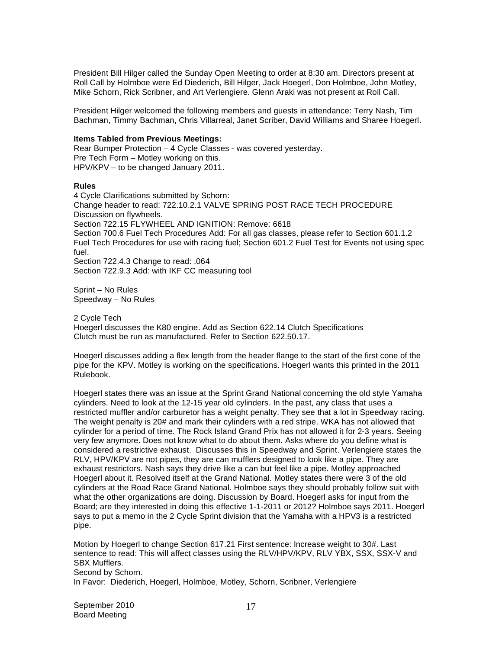President Bill Hilger called the Sunday Open Meeting to order at 8:30 am. Directors present at Roll Call by Holmboe were Ed Diederich, Bill Hilger, Jack Hoegerl, Don Holmboe, John Motley, Mike Schorn, Rick Scribner, and Art Verlengiere. Glenn Araki was not present at Roll Call.

President Hilger welcomed the following members and guests in attendance: Terry Nash, Tim Bachman, Timmy Bachman, Chris Villarreal, Janet Scriber, David Williams and Sharee Hoegerl.

#### **Items Tabled from Previous Meetings:**

Rear Bumper Protection – 4 Cycle Classes - was covered yesterday. Pre Tech Form – Motley working on this. HPV/KPV – to be changed January 2011.

#### **Rules**

4 Cycle Clarifications submitted by Schorn: Change header to read: 722.10.2.1 VALVE SPRING POST RACE TECH PROCEDURE Discussion on flywheels. Section 722.15 FLYWHEEL AND IGNITION: Remove: 6618 Section 700.6 Fuel Tech Procedures Add: For all gas classes, please refer to Section 601.1.2 Fuel Tech Procedures for use with racing fuel; Section 601.2 Fuel Test for Events not using spec fuel. Section 722.4.3 Change to read: .064 Section 722.9.3 Add: with IKF CC measuring tool

Sprint – No Rules Speedway – No Rules

2 Cycle Tech Hoegerl discusses the K80 engine. Add as Section 622.14 Clutch Specifications Clutch must be run as manufactured. Refer to Section 622.50.17.

Hoegerl discusses adding a flex length from the header flange to the start of the first cone of the pipe for the KPV. Motley is working on the specifications. Hoegerl wants this printed in the 2011 Rulebook.

Hoegerl states there was an issue at the Sprint Grand National concerning the old style Yamaha cylinders. Need to look at the 12-15 year old cylinders. In the past, any class that uses a restricted muffler and/or carburetor has a weight penalty. They see that a lot in Speedway racing. The weight penalty is 20# and mark their cylinders with a red stripe. WKA has not allowed that cylinder for a period of time. The Rock Island Grand Prix has not allowed it for 2-3 years. Seeing very few anymore. Does not know what to do about them. Asks where do you define what is considered a restrictive exhaust. Discusses this in Speedway and Sprint. Verlengiere states the RLV, HPV/KPV are not pipes, they are can mufflers designed to look like a pipe. They are exhaust restrictors. Nash says they drive like a can but feel like a pipe. Motley approached Hoegerl about it. Resolved itself at the Grand National. Motley states there were 3 of the old cylinders at the Road Race Grand National. Holmboe says they should probably follow suit with what the other organizations are doing. Discussion by Board. Hoegerl asks for input from the Board; are they interested in doing this effective 1-1-2011 or 2012? Holmboe says 2011. Hoegerl says to put a memo in the 2 Cycle Sprint division that the Yamaha with a HPV3 is a restricted pipe.

Motion by Hoegerl to change Section 617.21 First sentence: Increase weight to 30#. Last sentence to read: This will affect classes using the RLV/HPV/KPV, RLV YBX, SSX, SSX-V and SBX Mufflers. Second by Schorn.

In Favor: Diederich, Hoegerl, Holmboe, Motley, Schorn, Scribner, Verlengiere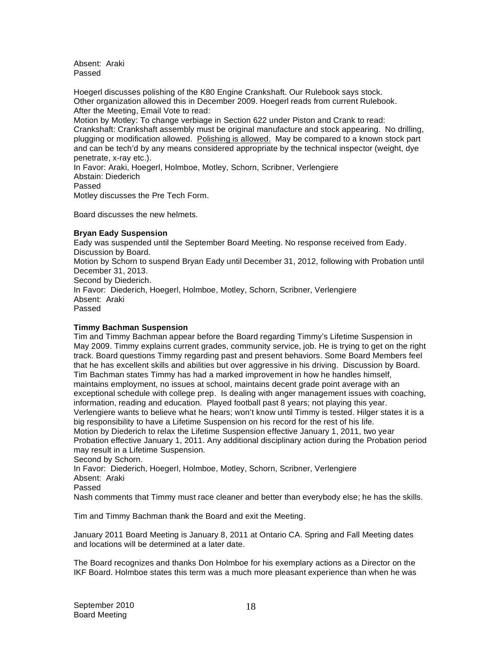Absent: Araki Passed

Hoegerl discusses polishing of the K80 Engine Crankshaft. Our Rulebook says stock. Other organization allowed this in December 2009. Hoegerl reads from current Rulebook. After the Meeting, Email Vote to read: Motion by Motley: To change verbiage in Section 622 under Piston and Crank to read: Crankshaft: Crankshaft assembly must be original manufacture and stock appearing. No drilling, plugging or modification allowed. Polishing is allowed. May be compared to a known stock part

and can be tech'd by any means considered appropriate by the technical inspector (weight, dye penetrate, x-ray etc.).

In Favor: Araki, Hoegerl, Holmboe, Motley, Schorn, Scribner, Verlengiere Abstain: Diederich Passed

Motley discusses the Pre Tech Form.

Board discusses the new helmets.

# **Bryan Eady Suspension**

Eady was suspended until the September Board Meeting. No response received from Eady. Discussion by Board. Motion by Schorn to suspend Bryan Eady until December 31, 2012, following with Probation until December 31, 2013. Second by Diederich. In Favor: Diederich, Hoegerl, Holmboe, Motley, Schorn, Scribner, Verlengiere Absent: Araki Passed

# **Timmy Bachman Suspension**

Tim and Timmy Bachman appear before the Board regarding Timmy's Lifetime Suspension in May 2009. Timmy explains current grades, community service, job. He is trying to get on the right track. Board questions Timmy regarding past and present behaviors. Some Board Members feel that he has excellent skills and abilities but over aggressive in his driving. Discussion by Board. Tim Bachman states Timmy has had a marked improvement in how he handles himself, maintains employment, no issues at school, maintains decent grade point average with an exceptional schedule with college prep. Is dealing with anger management issues with coaching, information, reading and education. Played football past 8 years; not playing this year. Verlengiere wants to believe what he hears; won't know until Timmy is tested. Hilger states it is a big responsibility to have a Lifetime Suspension on his record for the rest of his life. Motion by Diederich to relax the Lifetime Suspension effective January 1, 2011, two year Probation effective January 1, 2011. Any additional disciplinary action during the Probation period may result in a Lifetime Suspension. Second by Schorn.

In Favor: Diederich, Hoegerl, Holmboe, Motley, Schorn, Scribner, Verlengiere Absent: Araki Passed Nash comments that Timmy must race cleaner and better than everybody else; he has the skills.

Tim and Timmy Bachman thank the Board and exit the Meeting.

January 2011 Board Meeting is January 8, 2011 at Ontario CA. Spring and Fall Meeting dates and locations will be determined at a later date.

The Board recognizes and thanks Don Holmboe for his exemplary actions as a Director on the IKF Board. Holmboe states this term was a much more pleasant experience than when he was